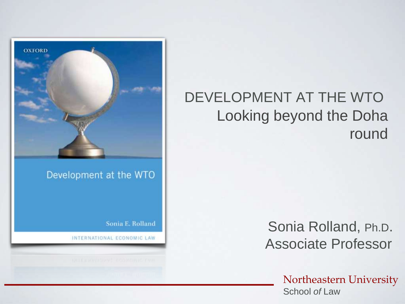

#### Development at the WTO

Sonia E. Rolland

INTERNATIONAL ECONOMIC LAW

#### DEVELOPMENT AT THE WTO Looking beyond the Doha round

Sonia Rolland, Ph.D. Associate Professor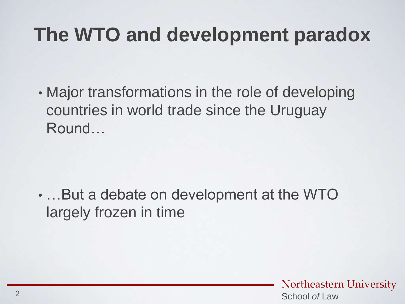### **The WTO and development paradox**

• Major transformations in the role of developing countries in world trade since the Uruguay Round…

• …But a debate on development at the WTO largely frozen in time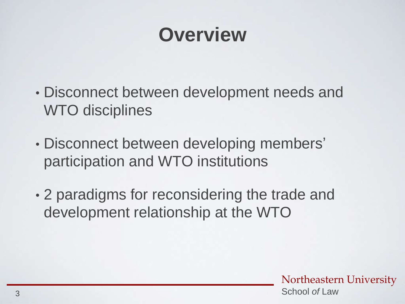### **Overview**

- Disconnect between development needs and WTO disciplines
- Disconnect between developing members' participation and WTO institutions
- 2 paradigms for reconsidering the trade and development relationship at the WTO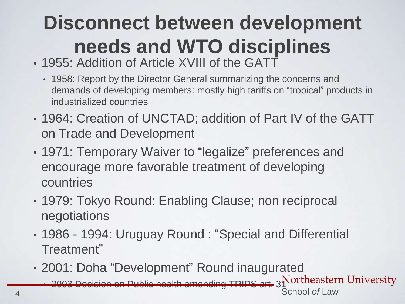## **Disconnect between development needs and WTO disciplines**

- 1955: Addition of Article XVIII of the GATT
	- 1958: Report by the Director General summarizing the concerns and demands of developing members: mostly high tariffs on "tropical" products in industrialized countries
- 1964: Creation of UNCTAD; addition of Part IV of the GATT on Trade and Development
- 1971: Temporary Waiver to "legalize" preferences and encourage more favorable treatment of developing countries
- 1979: Tokyo Round: Enabling Clause; non reciprocal negotiations
- 1986 1994: Uruguay Round : "Special and Differential Treatment"
- 2001: Doha "Development" Round inaugurated

 $\sim$  2003 Decision on Public health amending TRIPS art. 3  $\rm{Northeastern\ University}$ 4 School *of* Law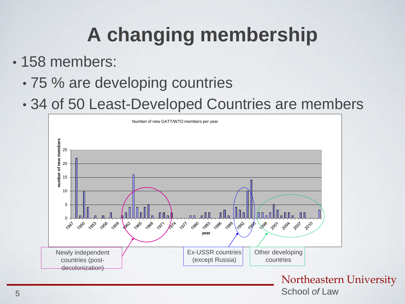## **A changing membership**

- 158 members:
	- 75 % are developing countries
	- 34 of 50 Least-Developed Countries are members

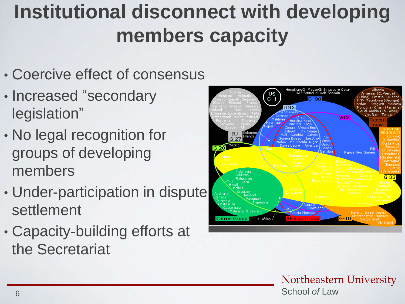### **Institutional disconnect with developing members capacity**

- Coercive effect of consensus
- Increased "secondary legislation"
- No legal recognition for groups of developing members
- Under-participation in dispute settlement
- Capacity-building efforts at the Secretariat

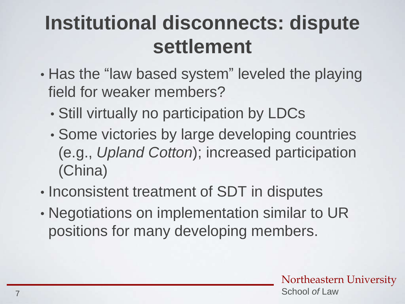### **Institutional disconnects: dispute settlement**

- Has the "law based system" leveled the playing field for weaker members?
	- Still virtually no participation by LDCs
	- Some victories by large developing countries (e.g., *Upland Cotton*); increased participation (China)
- Inconsistent treatment of SDT in disputes
- Negotiations on implementation similar to UR positions for many developing members.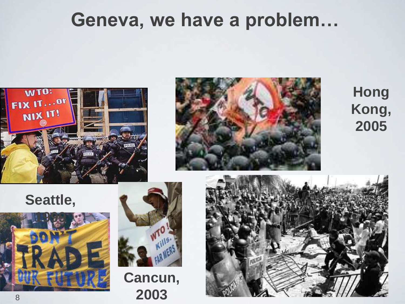### **Geneva, we have a problem…**





**Hong Kong, 2005**







**Cancun, 2003**

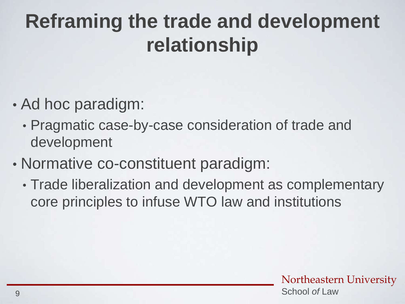### **Reframing the trade and development relationship**

- Ad hoc paradigm:
	- Pragmatic case-by-case consideration of trade and development
- Normative co-constituent paradigm:
	- Trade liberalization and development as complementary core principles to infuse WTO law and institutions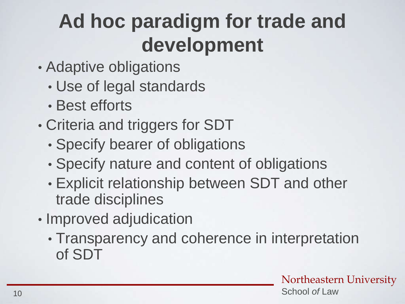### **Ad hoc paradigm for trade and development**

- Adaptive obligations
	- Use of legal standards
	- Best efforts
- Criteria and triggers for SDT
	- Specify bearer of obligations
	- Specify nature and content of obligations
	- Explicit relationship between SDT and other trade disciplines
- Improved adjudication
	- Transparency and coherence in interpretation of SDT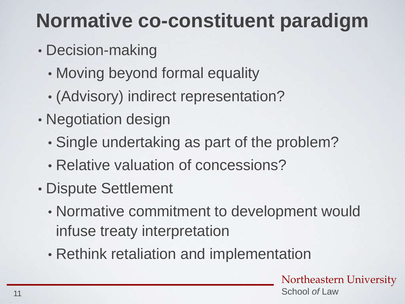### **Normative co-constituent paradigm**

- Decision-making
	- Moving beyond formal equality
	- (Advisory) indirect representation?
- Negotiation design
	- Single undertaking as part of the problem?
	- Relative valuation of concessions?
- Dispute Settlement
	- Normative commitment to development would infuse treaty interpretation
	- Rethink retaliation and implementation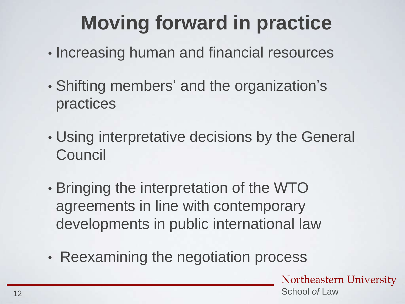### **Moving forward in practice**

- Increasing human and financial resources
- Shifting members' and the organization's practices
- Using interpretative decisions by the General **Council**
- Bringing the interpretation of the WTO agreements in line with contemporary developments in public international law
- Reexamining the negotiation process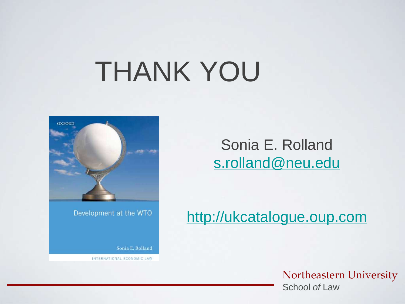# THANK YOU



Development at the WTO

Sonia E. Rolland

INTERNATIONAL ECONOMIC LAW

Sonia E. Rolland [s.rolland@neu.edu](mailto:s.rolland@neu.edu)

[http://ukcatalogue.oup.com](http://ukcatalogue.oup.com/product/9780199600885.do)